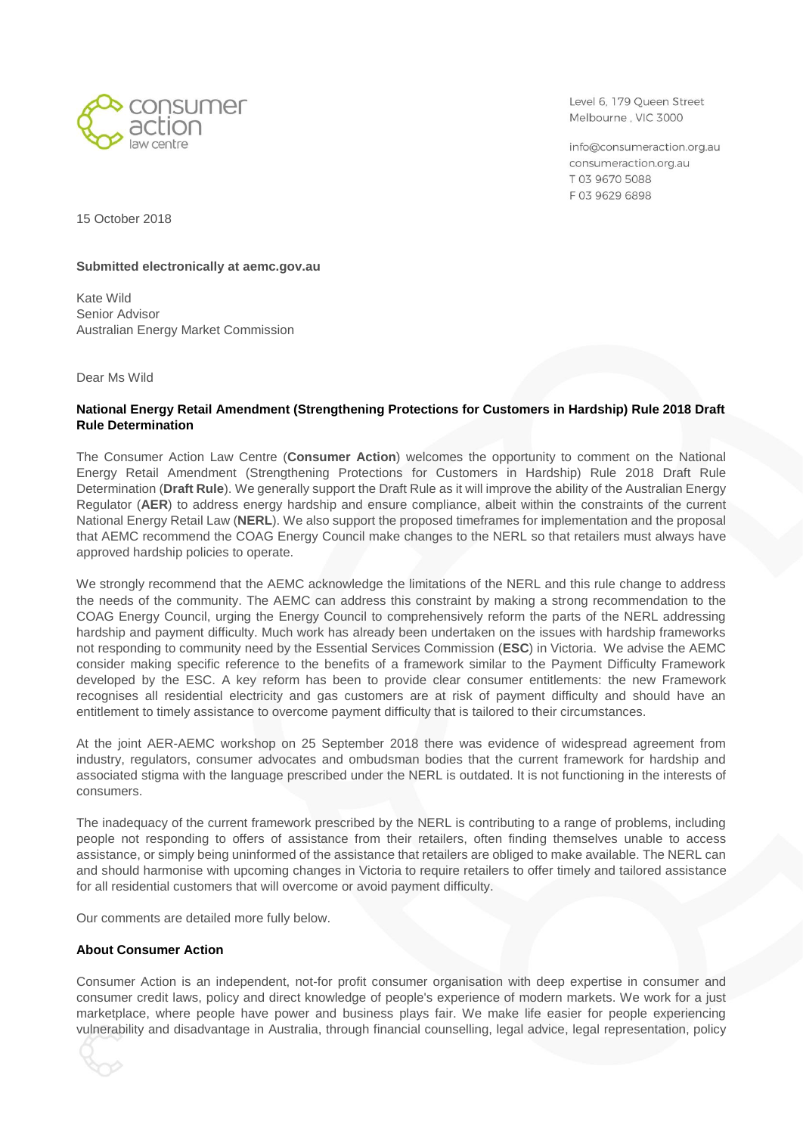

Level 6, 179 Oueen Street Melbourne, VIC 3000

info@consumeraction.org.au consumeraction.org.au T 03 9670 5088 F0396296898

15 October 2018

#### **Submitted electronically at aemc.gov.au**

Kate Wild Senior Advisor Australian Energy Market Commission

Dear Ms Wild

# **National Energy Retail Amendment (Strengthening Protections for Customers in Hardship) Rule 2018 Draft Rule Determination**

The Consumer Action Law Centre (**Consumer Action**) welcomes the opportunity to comment on the National Energy Retail Amendment (Strengthening Protections for Customers in Hardship) Rule 2018 Draft Rule Determination (**Draft Rule**). We generally support the Draft Rule as it will improve the ability of the Australian Energy Regulator (**AER**) to address energy hardship and ensure compliance, albeit within the constraints of the current National Energy Retail Law (**NERL**). We also support the proposed timeframes for implementation and the proposal that AEMC recommend the COAG Energy Council make changes to the NERL so that retailers must always have approved hardship policies to operate.

We strongly recommend that the AEMC acknowledge the limitations of the NERL and this rule change to address the needs of the community. The AEMC can address this constraint by making a strong recommendation to the COAG Energy Council, urging the Energy Council to comprehensively reform the parts of the NERL addressing hardship and payment difficulty. Much work has already been undertaken on the issues with hardship frameworks not responding to community need by the Essential Services Commission (**ESC**) in Victoria. We advise the AEMC consider making specific reference to the benefits of a framework similar to the Payment Difficulty Framework developed by the ESC. A key reform has been to provide clear consumer entitlements: the new Framework recognises all residential electricity and gas customers are at risk of payment difficulty and should have an entitlement to timely assistance to overcome payment difficulty that is tailored to their circumstances.

At the joint AER-AEMC workshop on 25 September 2018 there was evidence of widespread agreement from industry, regulators, consumer advocates and ombudsman bodies that the current framework for hardship and associated stigma with the language prescribed under the NERL is outdated. It is not functioning in the interests of consumers.

The inadequacy of the current framework prescribed by the NERL is contributing to a range of problems, including people not responding to offers of assistance from their retailers, often finding themselves unable to access assistance, or simply being uninformed of the assistance that retailers are obliged to make available. The NERL can and should harmonise with upcoming changes in Victoria to require retailers to offer timely and tailored assistance for all residential customers that will overcome or avoid payment difficulty.

Our comments are detailed more fully below.

### **About Consumer Action**

Consumer Action is an independent, not-for profit consumer organisation with deep expertise in consumer and consumer credit laws, policy and direct knowledge of people's experience of modern markets. We work for a just marketplace, where people have power and business plays fair. We make life easier for people experiencing vulnerability and disadvantage in Australia, through financial counselling, legal advice, legal representation, policy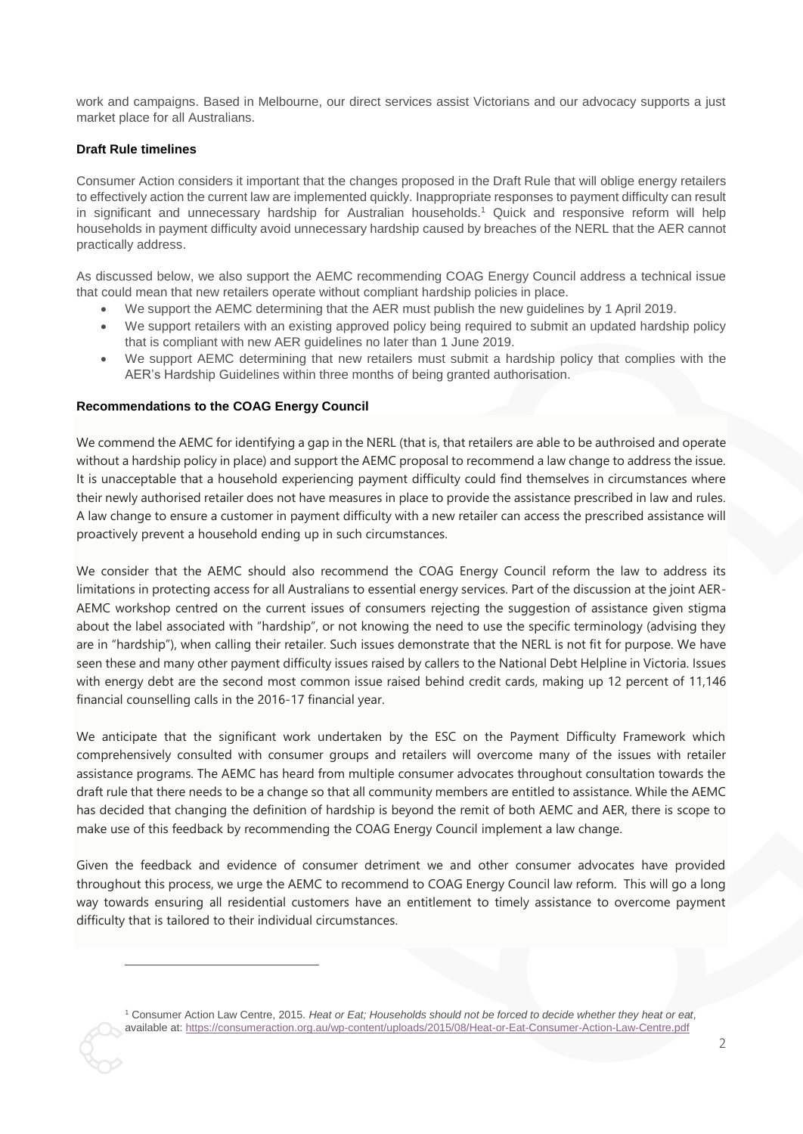work and campaigns. Based in Melbourne, our direct services assist Victorians and our advocacy supports a just market place for all Australians.

# **Draft Rule timelines**

-

Consumer Action considers it important that the changes proposed in the Draft Rule that will oblige energy retailers to effectively action the current law are implemented quickly. Inappropriate responses to payment difficulty can result in significant and unnecessary hardship for Australian households.<sup>1</sup> Quick and responsive reform will help households in payment difficulty avoid unnecessary hardship caused by breaches of the NERL that the AER cannot practically address.

As discussed below, we also support the AEMC recommending COAG Energy Council address a technical issue that could mean that new retailers operate without compliant hardship policies in place.

- We support the AEMC determining that the AER must publish the new guidelines by 1 April 2019.
- We support retailers with an existing approved policy being required to submit an updated hardship policy that is compliant with new AER guidelines no later than 1 June 2019.
- We support AEMC determining that new retailers must submit a hardship policy that complies with the AER's Hardship Guidelines within three months of being granted authorisation.

# **Recommendations to the COAG Energy Council**

We commend the AEMC for identifying a gap in the NERL (that is, that retailers are able to be authroised and operate without a hardship policy in place) and support the AEMC proposal to recommend a law change to address the issue. It is unacceptable that a household experiencing payment difficulty could find themselves in circumstances where their newly authorised retailer does not have measures in place to provide the assistance prescribed in law and rules. A law change to ensure a customer in payment difficulty with a new retailer can access the prescribed assistance will proactively prevent a household ending up in such circumstances.

We consider that the AEMC should also recommend the COAG Energy Council reform the law to address its limitations in protecting access for all Australians to essential energy services. Part of the discussion at the joint AER-AEMC workshop centred on the current issues of consumers rejecting the suggestion of assistance given stigma about the label associated with "hardship", or not knowing the need to use the specific terminology (advising they are in "hardship"), when calling their retailer. Such issues demonstrate that the NERL is not fit for purpose. We have seen these and many other payment difficulty issues raised by callers to the National Debt Helpline in Victoria. Issues with energy debt are the second most common issue raised behind credit cards, making up 12 percent of 11,146 financial counselling calls in the 2016-17 financial year.

We anticipate that the significant work undertaken by the ESC on the Payment Difficulty Framework which comprehensively consulted with consumer groups and retailers will overcome many of the issues with retailer assistance programs. The AEMC has heard from multiple consumer advocates throughout consultation towards the draft rule that there needs to be a change so that all community members are entitled to assistance. While the AEMC has decided that changing the definition of hardship is beyond the remit of both AEMC and AER, there is scope to make use of this feedback by recommending the COAG Energy Council implement a law change.

Given the feedback and evidence of consumer detriment we and other consumer advocates have provided throughout this process, we urge the AEMC to recommend to COAG Energy Council law reform. This will go a long way towards ensuring all residential customers have an entitlement to timely assistance to overcome payment difficulty that is tailored to their individual circumstances.

<sup>&</sup>lt;sup>1</sup> Consumer Action Law Centre, 2015. Heat or Eat; Households should not be forced to decide whether they heat or eat, available at[: https://consumeraction.org.au/wp-content/uploads/2015/08/Heat-or-Eat-Consumer-Action-Law-Centre.pdf](https://consumeraction.org.au/wp-content/uploads/2015/08/Heat-or-Eat-Consumer-Action-Law-Centre.pdf)